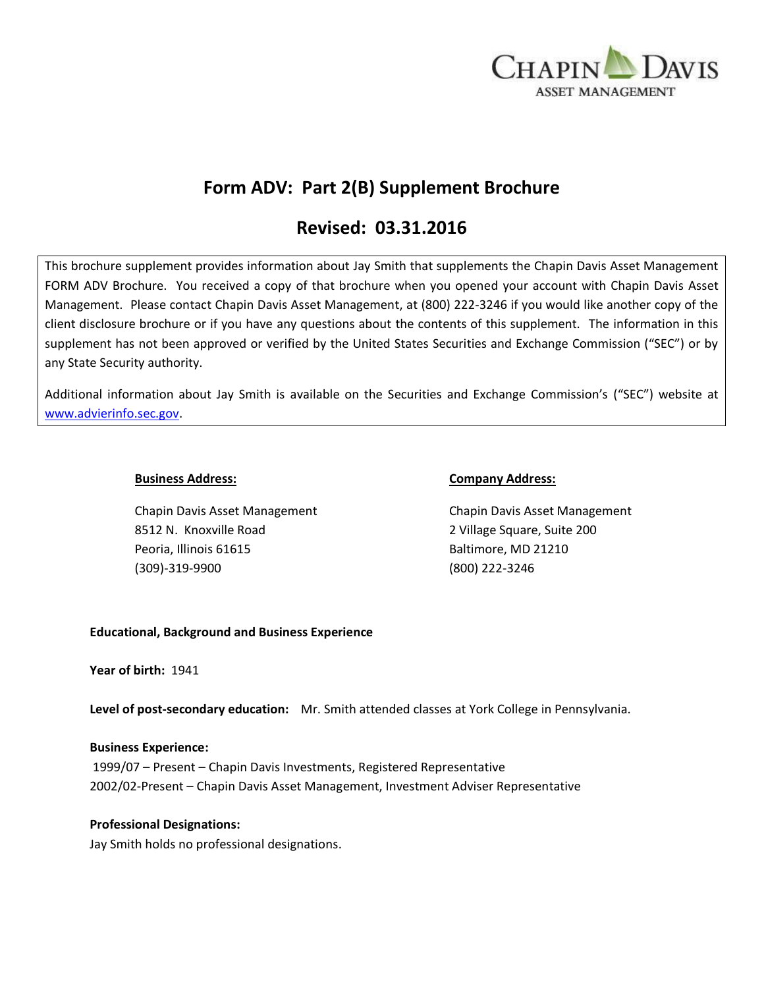

# **Form ADV: Part 2(B) Supplement Brochure**

# **Revised: 03.31.2016**

This brochure supplement provides information about Jay Smith that supplements the Chapin Davis Asset Management FORM ADV Brochure. You received a copy of that brochure when you opened your account with Chapin Davis Asset Management. Please contact Chapin Davis Asset Management, at (800) 222-3246 if you would like another copy of the client disclosure brochure or if you have any questions about the contents of this supplement. The information in this supplement has not been approved or verified by the United States Securities and Exchange Commission ("SEC") or by any State Security authority.

Additional information about Jay Smith is available on the Securities and Exchange Commission's ("SEC") website at [www.advierinfo.sec.gov.](http://www.advierinfo.sec.gov/)

8512 N. Knoxville Road 2 Village Square, Suite 200 Peoria, Illinois 61615 Baltimore, MD 21210 (309)-319-9900 (800) 222-3246

#### **Business Address: Company Address:**

Chapin Davis Asset Management Chapin Davis Asset Management

### **Educational, Background and Business Experience**

**Year of birth:** 1941

**Level of post-secondary education:** Mr. Smith attended classes at York College in Pennsylvania.

#### **Business Experience:**

1999/07 – Present – Chapin Davis Investments, Registered Representative 2002/02-Present – Chapin Davis Asset Management, Investment Adviser Representative

### **Professional Designations:**

Jay Smith holds no professional designations.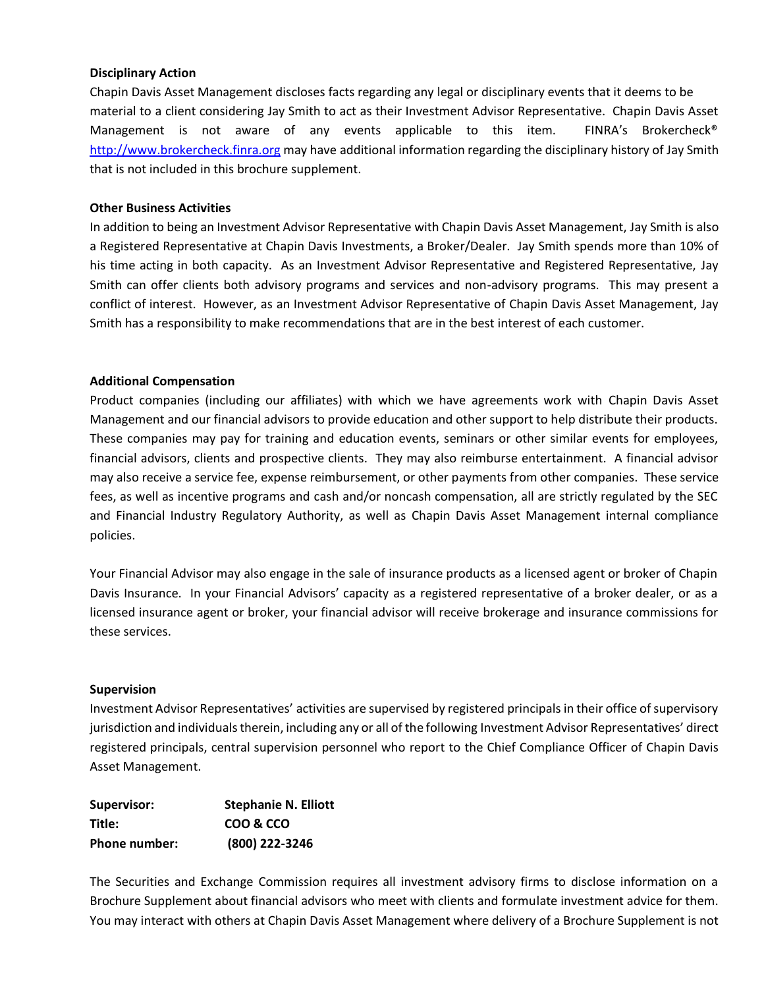#### **Disciplinary Action**

Chapin Davis Asset Management discloses facts regarding any legal or disciplinary events that it deems to be material to a client considering Jay Smith to act as their Investment Advisor Representative. Chapin Davis Asset Management is not aware of any events applicable to this item. FINRA's Brokercheck<sup>®</sup> [http://www.brokercheck.finra.org](http://www.brokercheck.finra.org/) may have additional information regarding the disciplinary history of Jay Smith that is not included in this brochure supplement.

#### **Other Business Activities**

In addition to being an Investment Advisor Representative with Chapin Davis Asset Management, Jay Smith is also a Registered Representative at Chapin Davis Investments, a Broker/Dealer. Jay Smith spends more than 10% of his time acting in both capacity. As an Investment Advisor Representative and Registered Representative, Jay Smith can offer clients both advisory programs and services and non-advisory programs. This may present a conflict of interest. However, as an Investment Advisor Representative of Chapin Davis Asset Management, Jay Smith has a responsibility to make recommendations that are in the best interest of each customer.

#### **Additional Compensation**

Product companies (including our affiliates) with which we have agreements work with Chapin Davis Asset Management and our financial advisors to provide education and other support to help distribute their products. These companies may pay for training and education events, seminars or other similar events for employees, financial advisors, clients and prospective clients. They may also reimburse entertainment. A financial advisor may also receive a service fee, expense reimbursement, or other payments from other companies. These service fees, as well as incentive programs and cash and/or noncash compensation, all are strictly regulated by the SEC and Financial Industry Regulatory Authority, as well as Chapin Davis Asset Management internal compliance policies.

Your Financial Advisor may also engage in the sale of insurance products as a licensed agent or broker of Chapin Davis Insurance. In your Financial Advisors' capacity as a registered representative of a broker dealer, or as a licensed insurance agent or broker, your financial advisor will receive brokerage and insurance commissions for these services.

#### **Supervision**

Investment Advisor Representatives' activities are supervised by registered principals in their office of supervisory jurisdiction and individuals therein, including any or all of the following Investment Advisor Representatives' direct registered principals, central supervision personnel who report to the Chief Compliance Officer of Chapin Davis Asset Management.

| Supervisor:   | <b>Stephanie N. Elliott</b> |
|---------------|-----------------------------|
| Title:        | COO & CCO                   |
| Phone number: | (800) 222-3246              |

The Securities and Exchange Commission requires all investment advisory firms to disclose information on a Brochure Supplement about financial advisors who meet with clients and formulate investment advice for them. You may interact with others at Chapin Davis Asset Management where delivery of a Brochure Supplement is not